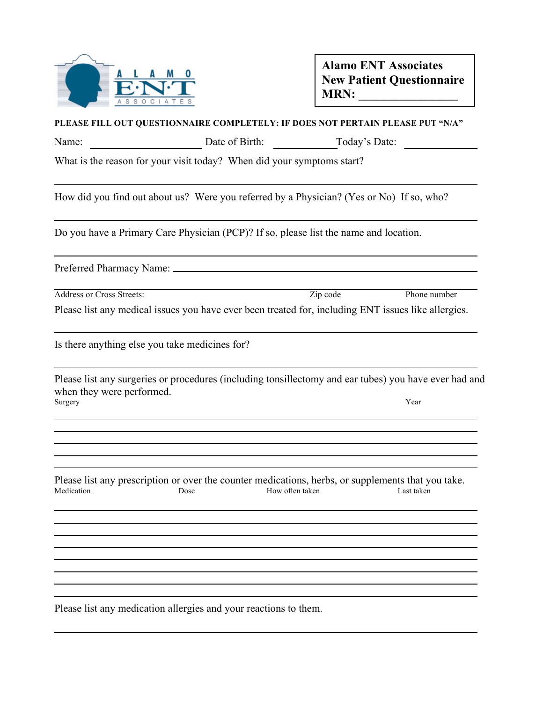

## **Alamo ENT Associates New Patient Questionnaire MRN: \_\_\_\_\_\_\_\_\_\_\_\_\_\_\_\_**

| PLEASE FILL OUT QUESTIONNAIRE COMPLETELY: IF DOES NOT PERTAIN PLEASE PUT "N/A" |                                                                                                            |                              |              |  |
|--------------------------------------------------------------------------------|------------------------------------------------------------------------------------------------------------|------------------------------|--------------|--|
| Name:                                                                          |                                                                                                            | Date of Birth: Today's Date: |              |  |
|                                                                                | What is the reason for your visit today? When did your symptoms start?                                     |                              |              |  |
|                                                                                | How did you find out about us? Were you referred by a Physician? (Yes or No) If so, who?                   |                              |              |  |
|                                                                                | Do you have a Primary Care Physician (PCP)? If so, please list the name and location.                      |                              |              |  |
|                                                                                |                                                                                                            |                              |              |  |
| <b>Address or Cross Streets:</b>                                               |                                                                                                            | Zip code                     | Phone number |  |
|                                                                                | Please list any medical issues you have ever been treated for, including ENT issues like allergies.        |                              |              |  |
|                                                                                | Is there anything else you take medicines for?                                                             |                              |              |  |
| when they were performed.<br>Surgery                                           | Please list any surgeries or procedures (including tonsillectomy and ear tubes) you have ever had and      |                              | Year         |  |
|                                                                                |                                                                                                            |                              |              |  |
| Medication                                                                     | Please list any prescription or over the counter medications, herbs, or supplements that you take.<br>Dose | How often taken              | Last taken   |  |
|                                                                                |                                                                                                            |                              |              |  |
|                                                                                |                                                                                                            |                              |              |  |
|                                                                                |                                                                                                            |                              |              |  |
|                                                                                |                                                                                                            |                              |              |  |

Please list any medication allergies and your reactions to them.